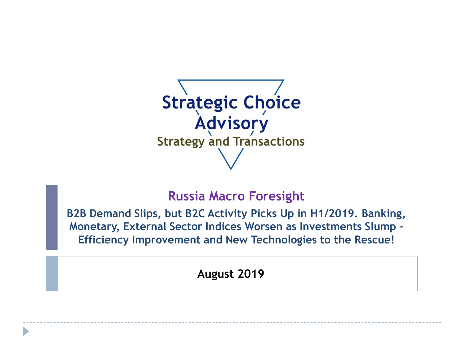

## **Russia Macro Foresight**

**B2B Demand Slips, but B2C Activity Picks Up in H1/2019. Banking, Monetary, External Sector Indices Worsen as Investments Slump – Efficiency Improvement and New Technologies to the Rescue!**

**August 2019**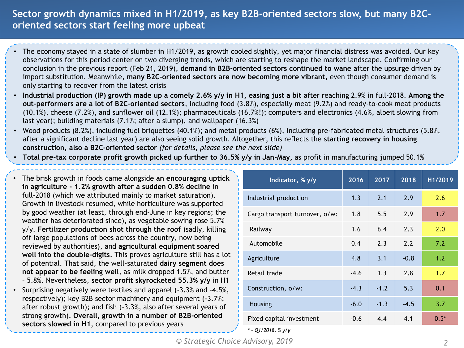## **Sector growth dynamics mixed in H1/2019, as key B2B-oriented sectors slow, but many B2Coriented sectors start feeling more upbeat**

- The economy stayed in a state of slumber in H1/2019, as growth cooled slightly, yet major financial distress was avoided. Our key observations for this period center on two diverging trends, which are starting to reshape the market landscape. Confirming our conclusion in the previous report (Feb 21, 2019), **demand in B2B-oriented sectors continued to wane** after the upsurge driven by import substitution. Meanwhile, **many B2C-oriented sectors are now becoming more vibrant**, even though consumer demand is only starting to recover from the latest crisis
- **Industrial production (IP) growth made up a comely 2.6% y/y in H1, easing just a bit** after reaching 2.9% in full-2018. **Among the out-performers are a lot of B2C-oriented sectors**, including food (3.8%), especially meat (9.2%) and ready-to-cook meat products (10.1%), cheese (7.2%), and sunflower oil (12.1%); pharmaceuticals (16.7%!); computers and electronics (4.6%, albeit slowing from last year); building materials (7.1%; after a slump), and wallpaper (16.3%)
- Wood products (8.2%), including fuel briquettes (40.1%); and metal products (6%), including pre-fabricated metal structures (5.8%, after a significant decline last year) are also seeing solid growth. Altogether, this reflects the **starting recovery in housing construction, also a B2C-oriented sector** *(for details, please see the next slide)*
- **Total pre-tax corporate profit growth picked up further to 36.5% y/y in Jan-May,** as profit in manufacturing jumped 50.1%
- The brisk growth in foods came alongside **an encouraging uptick in agriculture - 1.2% growth after a sudden 0.8% decline** in full-2018 (which we attributed mainly to market saturation). Growth in livestock resumed, while horticulture was supported by good weather (at least, through end-June in key regions; the weather has deteriorated since), as vegetable sowing rose 5.7% y/y. **Fertilizer production shot through the roof** (sadly, killing off large populations of bees across the country, now being reviewed by authorities), and **agricultural equipment soared well into the double-digits**. This proves agriculture still has a lot of potential. That said, the well-saturated **dairy segment does not appear to be feeling well**, as milk dropped 1.5%, and butter – 5.8%. Nevertheless, **sector profit skyrocketed 55.3% y/y** in H1 • Surprising negatively were textiles and apparel (-3.3% and -4.5%,
- respectively); key B2B sector machinery and equipment (-3.7%; after robust growth); and fish (-3.3%, also after several years of strong growth). **Overall, growth in a number of B2B-oriented sectors slowed in H1**, compared to previous years

| Indicator, % y/y               | 2016   | 2017   | 2018   | H1/2019 |
|--------------------------------|--------|--------|--------|---------|
| Industrial production          | 1.3    | 2.1    | 2.9    | 2.6     |
| Cargo transport turnover, o/w: | 1.8    | 5.5    | 2.9    | 1.7     |
| Railway                        | 1.6    | 6.4    | 2.3    | 2.0     |
| Automobile                     | 0.4    | 2.3    | 2.2    | 7.2     |
| Agriculture                    | 4.8    | 3.1    | $-0.8$ | 1.2     |
| Retail trade                   | $-4.6$ | 1.3    | 2.8    | 1.7     |
| Construction, o/w:             | $-4.3$ | $-1.2$ | 5.3    | 0.1     |
| Housing                        | $-6.0$ | $-1.3$ | $-4.5$ | 3.7     |
| Fixed capital investment       | $-0.6$ | 4.4    | 4.1    | $0.5*$  |
| * - Q1/2018, $%$ y/y           |        |        |        |         |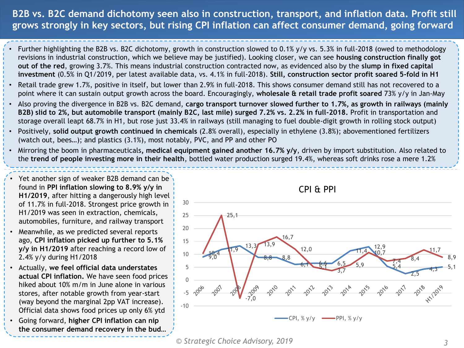## **B2B vs. B2C demand dichotomy seen also in construction, transport, and inflation data. Profit still grows strongly in key sectors, but rising CPI inflation can affect consumer demand, going forward**

- Further highlighting the B2B vs. B2C dichotomy, growth in construction slowed to 0.1% y/y vs. 5.3% in full-2018 (owed to methodology revisions in industrial construction, which we believe may be justified). Looking closer, we can see **housing construction finally got out of the red**, growing 3.7%. This means industrial construction contracted now, as evidenced also by the **slump in fixed capital investment** (0.5% in Q1/2019, per latest available data, vs. 4.1% in full-2018). **Still, construction sector profit soared 5-fold in H1**
- Retail trade grew 1.7%, positive in itself, but lower than 2.9% in full-2018. This shows consumer demand still has not recovered to a point where it can sustain output growth across the board. Encouragingly, **wholesale & retail trade profit soared** 73% y/y in Jan-May
- Also proving the divergence in B2B vs. B2C demand, **cargo transport turnover slowed further to 1.7%, as growth in railways (mainly B2B) slid to 2%, but automobile transport (mainly B2C, last mile) surged 7.2% vs. 2.2% in full-2018.** Profit in transportation and storage overall leapt 68.7% in H1, but rose just 33.4% in railways (still managing to fuel double-digit growth in rolling stock output)
- Positively, **solid output growth continued in chemicals** (2.8% overall), especially in ethylene (3.8%); abovementioned fertilizers (watch out, bees…); and plastics (3.1%), most notably, PVC, and PP and other PO
- Mirroring the boom in pharmaceuticals**, medical equipment gained another 16.7% y/y**, driven by import substitution. Also related to the **trend of people investing more in their health**, bottled water production surged 19.4%, whereas soft drinks rose a mere 1.2%
- Yet another sign of weaker B2B demand can be found in **PPI inflation slowing to 8.9% y/y in H1/2019**, after hitting a dangerously high level of 11.7% in full-2018. Strongest price growth in H1/2019 was seen in extraction, chemicals, automobiles, furniture, and railway transport
- Meanwhile, as we predicted several reports ago, **CPI inflation picked up further to 5.1% y/y in H1/2019** after reaching a record low of 2.4% y/y during H1/2018
- Actually, **we feel official data understates actual CPI inflation.** We have seen food prices hiked about 10% m/m in June alone in various stores, after notable growth from year-start (way beyond the marginal 2pp VAT increase). Official data shows food prices up only 6% ytd
- Going forward, **higher CPI inflation can nip the consumer demand recovery in the bud…**



*<sup>©</sup> Strategic Choice Advisory, 2019 3*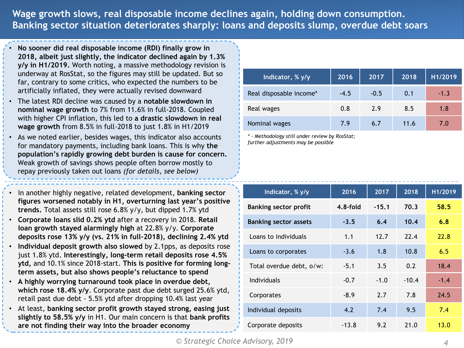**Wage growth slows, real disposable income declines again, holding down consumption. Banking sector situation deteriorates sharply: loans and deposits slump, overdue debt soars**

- **No sooner did real disposable income (RDI) finally grow in 2018, albeit just slightly, the indicator declined again by 1.3% y/y in H1/2019.** Worth noting, a massive methodology revision is underway at RosStat, so the figures may still be updated. But so far, contrary to some critics, who expected the numbers to be artificially inflated, they were actually revised downward
- The latest RDI decline was caused by a **notable slowdown in nominal wage growth** to 7% from 11.6% in full-2018. Coupled with higher CPI inflation, this led to **a drastic slowdown in real wage growth** from 8.5% in full-2018 to just 1.8% in H1/2019
- As we noted earlier, besides wages, this indicator also accounts for mandatory payments, including bank loans. This is why **the population's rapidly growing debt burden is cause for concern.**  Weak growth of savings shows people often borrow mostly to repay previously taken out loans *(for details, see below)*

• In another highly negative, related development, **banking sector figures worsened notably in H1, overturning last year's positive trends.** Total assets still rose 6.8% y/y, but dipped 1.7% ytd

- **Corporate loans slid 0.2% ytd** after a recovery in 2018. **Retail loan growth stayed alarmingly high** at 22.8% y/y. **Corporate deposits rose 13% y/y (vs. 21% in full-2018), declining 2.4% ytd**
- **Individual deposit growth also slowed** by 2.1pps, as deposits rose just 1.8% ytd. **Interestingly, long-term retail deposits rose 4.5% ytd,** and 10.1% since 2018-start. **This is positive for forming longterm assets, but also shows people's reluctance to spend**
- **A highly worrying turnaround took place in overdue debt, which rose 18.4% y/y**. Corporate past due debt surged 25.6% ytd, retail past due debt - 5.5% ytd after dropping 10.4% last year
- At least, **banking sector profit growth stayed strong, easing just slightly to 58.5% y/y** in H1. Our main concern is that **bank profits are not finding their way into the broader economy**

| Indicator, % y/y        | 2016   | 2017   | 2018 | H1/2019 |
|-------------------------|--------|--------|------|---------|
| Real disposable income* | $-4.5$ | $-0.5$ | 0.1  | $-1.3$  |
| Real wages              | 0.8    | 2.9    | 8.5  | 1.8     |
| Nominal wages           | 7.9    | 6.7    | 11.6 | 7.0     |

*\* - Methodology still under review by RosStat; further adjustments may be possible*

| Indicator, % y/y             | 2016       | 2017    | 2018    | H1/2019 |
|------------------------------|------------|---------|---------|---------|
| <b>Banking sector profit</b> | $4.8-fold$ | $-15.1$ | 70.3    | 58.5    |
| <b>Banking sector assets</b> | $-3.5$     | 6.4     | 10.4    | 6.8     |
| Loans to individuals         | 1.1        | 12.7    | 22.4    | 22.8    |
| Loans to corporates          | $-3.6$     | 1.8     | 10.8    | 6.5     |
| Total overdue debt, o/w:     | $-5.1$     | 3.5     | 0.2     | 18.4    |
| <b>Individuals</b>           | $-0.7$     | $-1.0$  | $-10.4$ | $-1.4$  |
| Corporates                   | $-8.9$     | 2.7     | 7.8     | 24.5    |
| Individual deposits          | 4.2        | 7.4     | 9.5     | 7.4     |
| Corporate deposits           | $-13.8$    | 9.2     | 21.0    | 13.0    |
|                              |            |         |         |         |

*© Strategic Choice Advisory, 2019 4*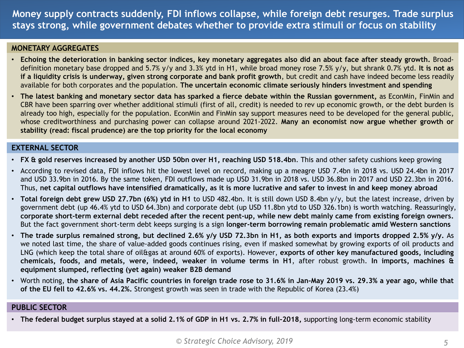**Money supply contracts suddenly, FDI inflows collapse, while foreign debt resurges. Trade surplus stays strong, while government debates whether to provide extra stimuli or focus on stability**

#### **MONETARY AGGREGATES**

- Echoing the deterioration in banking sector indices, key monetary aggregates also did an about face after steady growth. Broaddefinition monetary base dropped and 5.7% y/y and 3.3% ytd in H1, while broad money rose 7.5% y/y, but shrank 0.7% ytd. **It is not as if a liquidity crisis is underway, given strong corporate and bank profit growth**, but credit and cash have indeed become less readily available for both corporates and the population. **The uncertain economic climate seriously hinders investment and spending**
- The latest banking and monetary sector data has sparked a fierce debate within the Russian government, as EconMin, FinMin and CBR have been sparring over whether additional stimuli (first of all, credit) is needed to rev up economic growth, or the debt burden is already too high, especially for the population. EconMin and FinMin say support measures need to be developed for the general public, whose creditworthiness and purchasing power can collapse around 2021-2022. **Many an economist now argue whether growth or stability (read: fiscal prudence) are the top priority for the local economy**

#### **EXTERNAL SECTOR**

- **FX & gold reserves increased by another USD 50bn over H1, reaching USD 518.4bn**. This and other safety cushions keep growing
- According to revised data, FDI inflows hit the lowest level on record, making up a meagre USD 7.4bn in 2018 vs. USD 24.4bn in 2017 and USD 33.9bn in 2016. By the same token, FDI outflows made up USD 31.9bn in 2018 vs. USD 36.8bn in 2017 and USD 22.3bn in 2016. Thus, net capital outflows have intensified dramatically, as it is more lucrative and safer to invest in and keep money abroad
- **Total foreign debt grew USD 27.7bn (6%) ytd in H1** to USD 482.4bn. It is still down USD 8.4bn y/y, but the latest increase, driven by government debt (up 46.4% ytd to USD 64.3bn) and corporate debt (up USD 11.8bn ytd to USD 326.1bn) is worth watching. Reassuringly, corporate short-term external debt receded after the recent pent-up, while new debt mainly came from existing foreign owners. But the fact government short-term debt keeps surging is a sign **longer-term borrowing remain problematic amid Western sanctions**
- The trade surplus remained strong, but declined 2.6% y/y USD 72.3bn in H1, as both exports and imports dropped 2.5% y/y. As we noted last time, the share of value-added goods continues rising, even if masked somewhat by growing exports of oil products and LNG (which keep the total share of oil&gas at around 60% of exports). However, **exports of other key manufactured goods, including** chemicals, foods, and metals, were, indeed, weaker in volume terms in H1, after robust growth. In imports, machines & **equipment slumped, reflecting (yet again) weaker B2B demand**
- Worth noting, the share of Asia Pacific countries in foreign trade rose to 31.6% in Jan-May 2019 vs. 29.3% a year ago, while that **of the EU fell to 42.6% vs. 44.2%.** Strongest growth was seen in trade with the Republic of Korea (23.4%)

#### **PUBLIC SECTOR**

• The federal budget surplus stayed at a solid 2.1% of GDP in H1 vs. 2.7% in full-2018, supporting long-term economic stability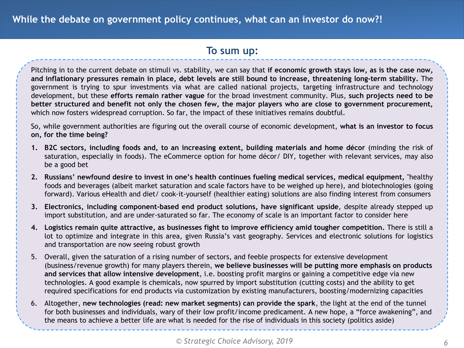### **To sum up:**

Pitching in to the current debate on stimuli vs. stability, we can say that **if economic growth stays low, as is the case now,** and inflationary pressures remain in place, debt levels are still bound to increase, threatening long-term stability. The government is trying to spur investments via what are called national projects, targeting infrastructure and technology development, but these **efforts remain rather vague** for the broad investment community. Plus, **such projects need to be** better structured and benefit not only the chosen few, the major players who are close to government procurement, which now fosters widespread corruption. So far, the impact of these initiatives remains doubtful.

So, while government authorities are figuring out the overall course of economic development, **what is an investor to focus on, for the time being?**

- **1. B2C sectors, including foods and, to an increasing extent, building materials and home décor** (minding the risk of saturation, especially in foods). The eCommerce option for home décor/ DIY, together with relevant services, may also be a good bet
- **2. Russians' newfound desire to invest in one's health continues fueling medical services, medical equipment,** "healthy foods and beverages (albeit market saturation and scale factors have to be weighed up here), and biotechnologies (going forward). Various eHealth and diet/ cook-it-yourself (healthier eating) solutions are also finding interest from consumers
- **3. Electronics, including component-based end product solutions, have significant upside**, despite already stepped up import substitution, and are under-saturated so far. The economy of scale is an important factor to consider here
- **4. Logistics remain quite attractive, as businesses fight to improve efficiency amid tougher competition.** There is still a lot to optimize and integrate in this area, given Russia's vast geography. Services and electronic solutions for logistics and transportation are now seeing robust growth
- 5. Overall, given the saturation of a rising number of sectors, and feeble prospects for extensive development (business/revenue growth) for many players therein, **we believe businesses will be putting more emphasis on products and services that allow intensive development**, i.e. boosting profit margins or gaining a competitive edge via new technologies. A good example is chemicals, now spurred by import substitution (cutting costs) and the ability to get required specifications for end products via customization by existing manufacturers, boosting/modernizing capacities
- 6. Altogether, **new technologies (read: new market segments) can provide the spark**, the light at the end of the tunnel for both businesses and individuals, wary of their low profit/income predicament. A new hope, a "force awakening", and the means to achieve a better life are what is needed for the rise of individuals in this society (politics aside)